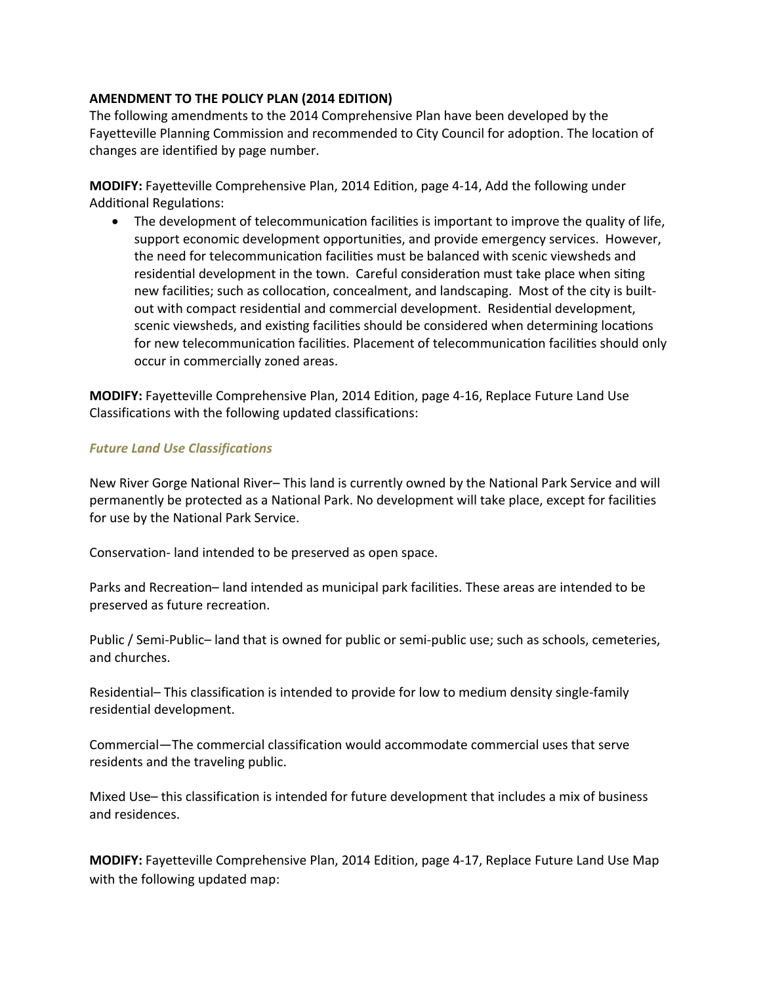## **AMENDMENT TO THE POLICY PLAN (2014 EDITION)**

The following amendments to the 2014 Comprehensive Plan have been developed by the Fayetteville Planning Commission and recommended to City Council for adoption. The location of changes are identified by page number.

**MODIFY:** Fayetteville Comprehensive Plan, 2014 Edition, page 4-14, Add the following under Additional Regulations:

The development of telecommunication facilities is important to improve the quality of life, support economic development opportunities, and provide emergency services. However, the need for telecommunication facilities must be balanced with scenic viewsheds and residential development in the town. Careful consideration must take place when siting new facilities; such as collocation, concealment, and landscaping. Most of the city is builtout with compact residential and commercial development. Residential development, scenic viewsheds, and existing facilities should be considered when determining locations for new telecommunication facilities. Placement of telecommunication facilities should only occur in commercially zoned areas.

**MODIFY:** Fayetteville Comprehensive Plan, 2014 Edition, page 4‐16, Replace Future Land Use Classifications with the following updated classifications:

## *Future Land Use Classifications*

New River Gorge National River– This land is currently owned by the National Park Service and will permanently be protected as a National Park. No development will take place, except for facilities for use by the National Park Service.

Conservation‐ land intended to be preserved as open space.

Parks and Recreation– land intended as municipal park facilities. These areas are intended to be preserved as future recreation.

Public / Semi-Public– land that is owned for public or semi-public use; such as schools, cemeteries, and churches.

Residential– This classification is intended to provide for low to medium density single-family residential development.

Commercial—The commercial classification would accommodate commercial uses that serve residents and the traveling public.

Mixed Use– this classification is intended for future development that includes a mix of business and residences.

**MODIFY:** Fayetteville Comprehensive Plan, 2014 Edition, page 4‐17, Replace Future Land Use Map with the following updated map: